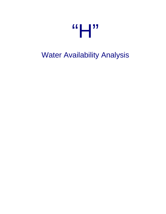

# Water Availability Analysis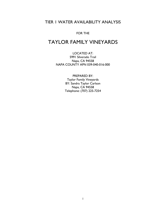# TIER 1 WATER AVAILABILITY ANALYSIS

#### FOR THE

# TAYLOR FAMILY VINEYARDS

LOCATED AT: 5991 Silverado Trail Napa, CA 94558 NAPA COUNTY APN 039-040-016-000

> PREPARED BY: Taylor Family Vineyards BY: Sandra Taylor Carlson Napa, CA 94558 Telephone: (707) 225-7254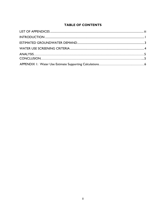### **TABLE OF CONTENTS**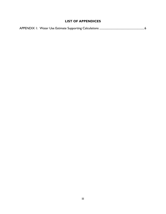## **LIST OF APPENDICES**

|--|--|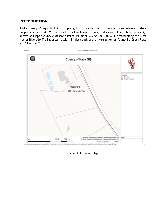#### **INTRODUCTION**

Taylor Family Vineyards, LLC is applying for a Use Permit to operate a new winery at their property located at 5991 Silverado Trail in Napa County, California. The subject property, known as Napa County Assessor's Parcel Number 039-040-016-000, is located along the west side of Silverado Trail approximately 1.4 miles south of the intersection of Yountville Cross Road and Silverado Trail.



Figure 1: Location Map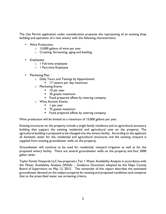The Use Permit application under consideration proposes the repurposing of an existing shop building and operation of a new winery with the following characteristics:

- Wine Production:
	- $\circ$  15,000 gallons of wine per year
	- o Crushing, fermenting, aging and bottling
- Employees:
	- o 1 Full-time employee
	- o 1 Part-time Employee
- Marketing Plan:
	- o Daily Tours and Tastings by Appointment
		- **If** 17 visitors per day maximum
	- o Marketing Events
		- 10 per year
		- 30 guests maximum
		- Food prepared offsite by catering company
	- o Wine Auction Events
		- l per year
		- 75 guests maximum
		- Food prepared offsite by catering company

Wine production will be limited to a maximum of 15,000 gallons per year.

Existing structures on the property include a single family residence and an agricultural accessory building that support the existing residential and agricultural uses on the property. The agricultural building is proposed to be changed into the winery facility. According to the applicant all domestic water for the residential and agricultural structures and the existing vineyard is supplied from existing groundwater wells on the property.

Groundwater will continue to be used for residential, vineyard irrigation as well as for the proposed winery facility. There are several groundwater wells on the property and four 5000 gallon tanks.

Taylor Family Vineyards LLC has prepared a Tier 1 Water Availability Analysis in accordance with the Water Availability Analysis (WAA) – Guidance Document adopted by the Napa County Board of Supervisors on May 12, 2015. The remainder of this report describes the estimated groundwater demand on the subject property for existing and proposed conditions and compares that to the prescribed water use screening criteria.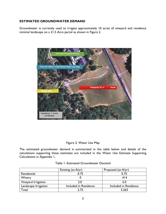#### **ESTIMATED GROUNDWATER DEMAND**

Groundwater is currently used to irrigate approximately 10 acres of vineyard and residence minimal landscape on a 21.5 Acre parcel as shown in Figure 2.



#### Figure 2: Water Use Map

The estimated groundwater demand is summarized in the table below and details of the calculations supporting these estimates are included in the Water Use Estimate Supporting Calculations in Appendix 1.

|                      | Existing (ac-ft/yr)   | Proposed (ac-ft/yr)   |
|----------------------|-----------------------|-----------------------|
| Residential          | 0.75                  | 0.75                  |
| Winery               |                       | .414                  |
| Vineyard Irrigation  | 2.0                   |                       |
| Landscape Irrigation | Included in Residence | Included in Residence |
| Total                | 7 75                  | 3.263                 |

#### Table 1: Estimated Groundwater Demand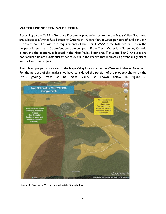#### **WATER USE SCREENING CRITERIA**

According to the WAA - Guidance Document properties located in the Napa Valley Floor area are subject to a Water Use Screening Criteria of 1.0 acre-feet of water per acre of land per year. A project complies with the requirements of the Tier 1 WAA if the total water use on the property is less than 1.0 acre-feet per acre per year. If the Tier 1 Water Use Screening Criteria is met and the property is located in the Napa Valley Floor area Tier 2 and Tier 3 Analyses are not required unless substantial evidence exists in the record that indicates a potential significant impact from the project.

The subject property is located in the Napa Valley Floor area in the WAA – Guidance Document. For the purpose of this analysis we have considered the portion of the property shown on the USGS geology maps as be Napa Valley as shown below in Figure 3.



Figure 3: Geology Map Created with Google Earth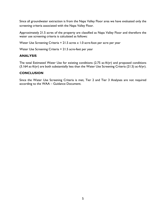Since all groundwater extraction is from the Napa Valley Floor area we have evaluated only the screening criteria associated with the Napa Valley Floor.

Approximately 21.5 acres of the property are classified as Napa Valley Floor and therefore the water use screening criteria is calculated as follows:

Water Use Screening Criteria =  $21.5$  acres x 1.0 acre-foot per acre per year

Water Use Screening Criteria = 21.5 acre-feet per year

#### **ANALYSIS**

The total Estimated Water Use for existing conditions (2.75 ac-ft/yr) and proposed conditions (3.164 ac-ft/yr) are both substantially less than the Water Use Screening Criteria (21.5) ac-ft/yr).

#### **CONCLUSION**

Since the Water Use Screening Criteria is met, Tier 2 and Tier 3 Analyses are not required according to the WAA – Guidance Document.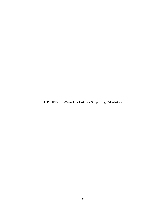APPENDIX 1: Water Use Estimate Supporting Calculations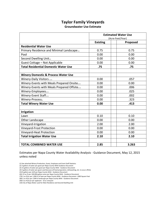# **Taylor Family Vineyards**

#### **Groundwater Use Estimate**

|                                                | <b>Estimated Water Use</b><br>(Acre-Feet/Year) |          |
|------------------------------------------------|------------------------------------------------|----------|
|                                                |                                                |          |
|                                                | <b>Existing</b>                                | Proposed |
| <b>Residential Water Use</b>                   |                                                |          |
| Primary Residence and Minimal Landscape(10)    | 0.75                                           | 0.75     |
| Pool                                           | 0.00                                           | 0.00     |
| Second Dwelling Unit(10)                       | 0.00                                           | 0.00     |
| <b>Guest Cottage - Not Applicable</b>          | 0.00                                           | 0.00     |
| <b>Total Residential Domestic Water Use</b>    | .75                                            | .75      |
|                                                |                                                |          |
| <b>Winery Domestic &amp; Process Water Use</b> |                                                |          |
| Winery-Daily Visitors (1)(2)                   | 0.00                                           | .057     |
| Winery-Events with Meals Prepared Onsite       | 0.00                                           | 0.00     |
| Winery-Events with Meals Prepared Offsite      | 0.00                                           | .006     |
| Winery-Employees(1)(5)                         | 0.00                                           | .025     |
| Winery-Event Staff(I)(S)                       | 0.00                                           | .002     |
| Winery-Process(6)                              | 0.00                                           | .323     |
| <b>Total Winery Water Use</b>                  | 0.00                                           | .413     |
|                                                |                                                |          |
| <b>Irrigation</b>                              |                                                |          |
| Lawn                                           | 0.10                                           | 0.10     |
| Other Landscape                                | 0.00                                           | 0.00     |
| Vineyard-Irrigation                            | 2.00                                           | 2.00     |
| <b>Vineyard-Frost Protection</b>               | 0.00                                           | 0.00     |
| Vineyard-Heat Protection                       | 0.00                                           | 0.00     |
| <b>Total Irrigation Water Use</b>              | 2.10                                           | 2.10     |
|                                                |                                                |          |
| <b>TOTAL COMBINED WATER USE</b>                | 2.85                                           | 3.263    |

Estimates per Napa County Water Availability Analysis - Guidance Document, May 12, 2015 unless noted

(5)15 gallons per shift per Napa County WAA - Guidance Document

(6)2.15 ac-ft per 100,000 gallons wine per Napa County WAA - Guidance Document

(7)0.1 ac-ft/yr per 1,000 sf of lawn per Napa County WAA - Guidance Document -1000 Square Feet

(8)0.1 ac-ft/yr per 2,000 sf landscape per Napa County WAA - Guidance Document

(9)0.5 ac-ft/ac/yr per applicant - 10 ac vineyard

<sup>(1)</sup> See attached Winery Production, Guest, Employee and Event Staff Statistics

<sup>(2) 3</sup> gallons of water per guest per Napa County WAA Guidance Document

<sup>(3) 15</sup> gallons of water per guest per Napa County WAA - Guidance Document

<sup>(4) 5</sup> gallons of water per guest used because all food preparation, dishwashing, etc. to occur offsite

<sup>(10)</sup> City of Napa Water used for Main Residence and Second Dwelling Unit